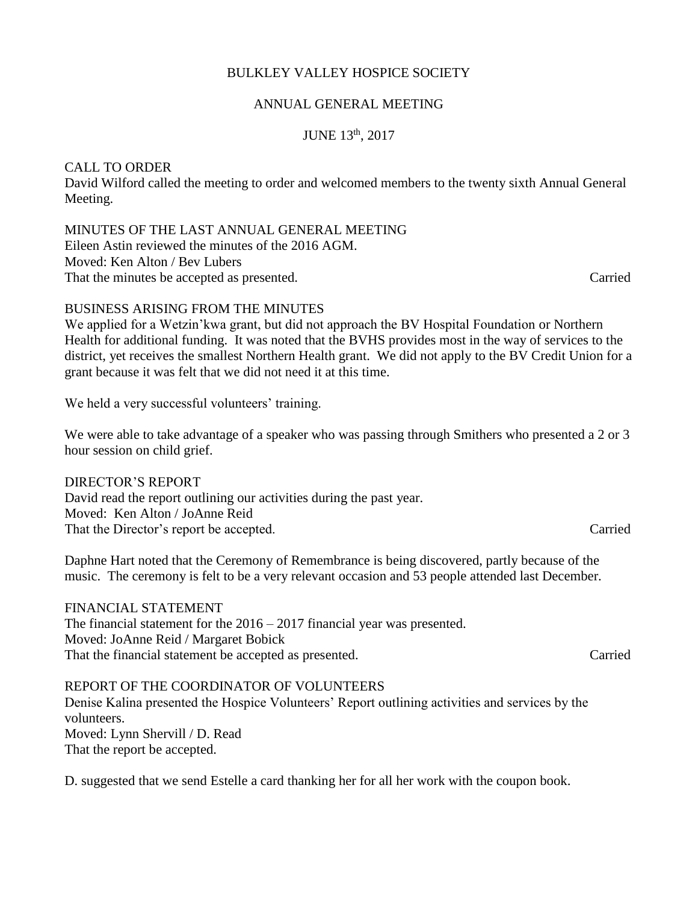# BULKLEY VALLEY HOSPICE SOCIETY

## ANNUAL GENERAL MEETING

JUNE 13th, 2017

# CALL TO ORDER

David Wilford called the meeting to order and welcomed members to the twenty sixth Annual General Meeting.

MINUTES OF THE LAST ANNUAL GENERAL MEETING Eileen Astin reviewed the minutes of the 2016 AGM. Moved: Ken Alton / Bev Lubers That the minutes be accepted as presented. Carried  $C$ 

## BUSINESS ARISING FROM THE MINUTES

We applied for a Wetzin'kwa grant, but did not approach the BV Hospital Foundation or Northern Health for additional funding. It was noted that the BVHS provides most in the way of services to the district, yet receives the smallest Northern Health grant. We did not apply to the BV Credit Union for a grant because it was felt that we did not need it at this time.

We held a very successful volunteers' training.

We were able to take advantage of a speaker who was passing through Smithers who presented a 2 or 3 hour session on child grief.

#### DIRECTOR'S REPORT David read the report outlining our activities during the past year. Moved: Ken Alton / JoAnne Reid

That the Director's report be accepted. Carried

Daphne Hart noted that the Ceremony of Remembrance is being discovered, partly because of the music. The ceremony is felt to be a very relevant occasion and 53 people attended last December.

FINANCIAL STATEMENT The financial statement for the 2016 – 2017 financial year was presented. Moved: JoAnne Reid / Margaret Bobick That the financial statement be accepted as presented. Carried

REPORT OF THE COORDINATOR OF VOLUNTEERS Denise Kalina presented the Hospice Volunteers' Report outlining activities and services by the volunteers. Moved: Lynn Shervill / D. Read That the report be accepted.

D. suggested that we send Estelle a card thanking her for all her work with the coupon book.